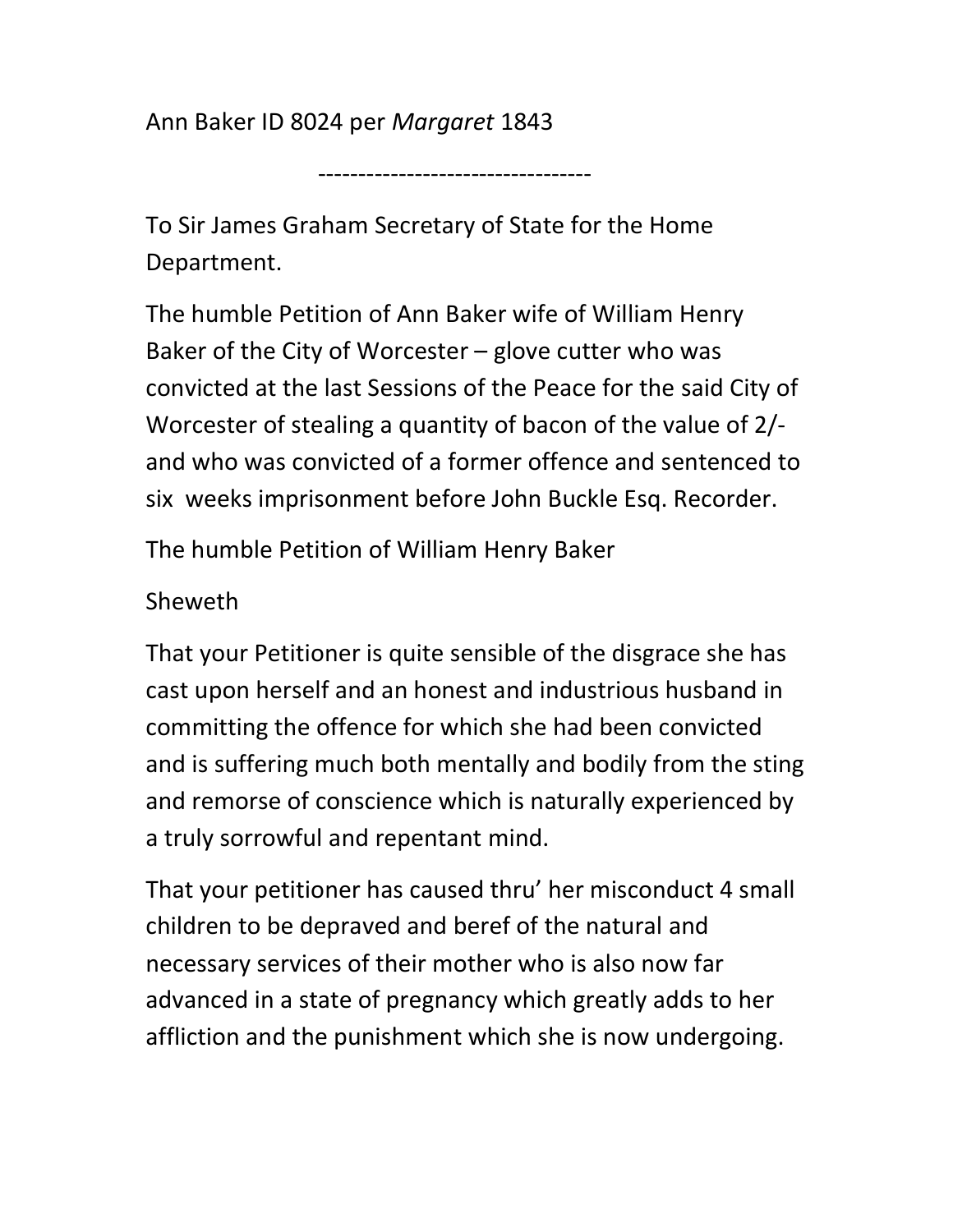Ann Baker ID 8024 per Margaret 1843

To Sir James Graham Secretary of State for the Home Department.

----------------------------------

The humble Petition of Ann Baker wife of William Henry Baker of the City of Worcester – glove cutter who was convicted at the last Sessions of the Peace for the said City of Worcester of stealing a quantity of bacon of the value of 2/ and who was convicted of a former offence and sentenced to six weeks imprisonment before John Buckle Esq. Recorder.

The humble Petition of William Henry Baker

## Sheweth

That your Petitioner is quite sensible of the disgrace she has cast upon herself and an honest and industrious husband in committing the offence for which she had been convicted and is suffering much both mentally and bodily from the sting and remorse of conscience which is naturally experienced by a truly sorrowful and repentant mind.

That your petitioner has caused thru' her misconduct 4 small children to be depraved and beref of the natural and necessary services of their mother who is also now far advanced in a state of pregnancy which greatly adds to her affliction and the punishment which she is now undergoing.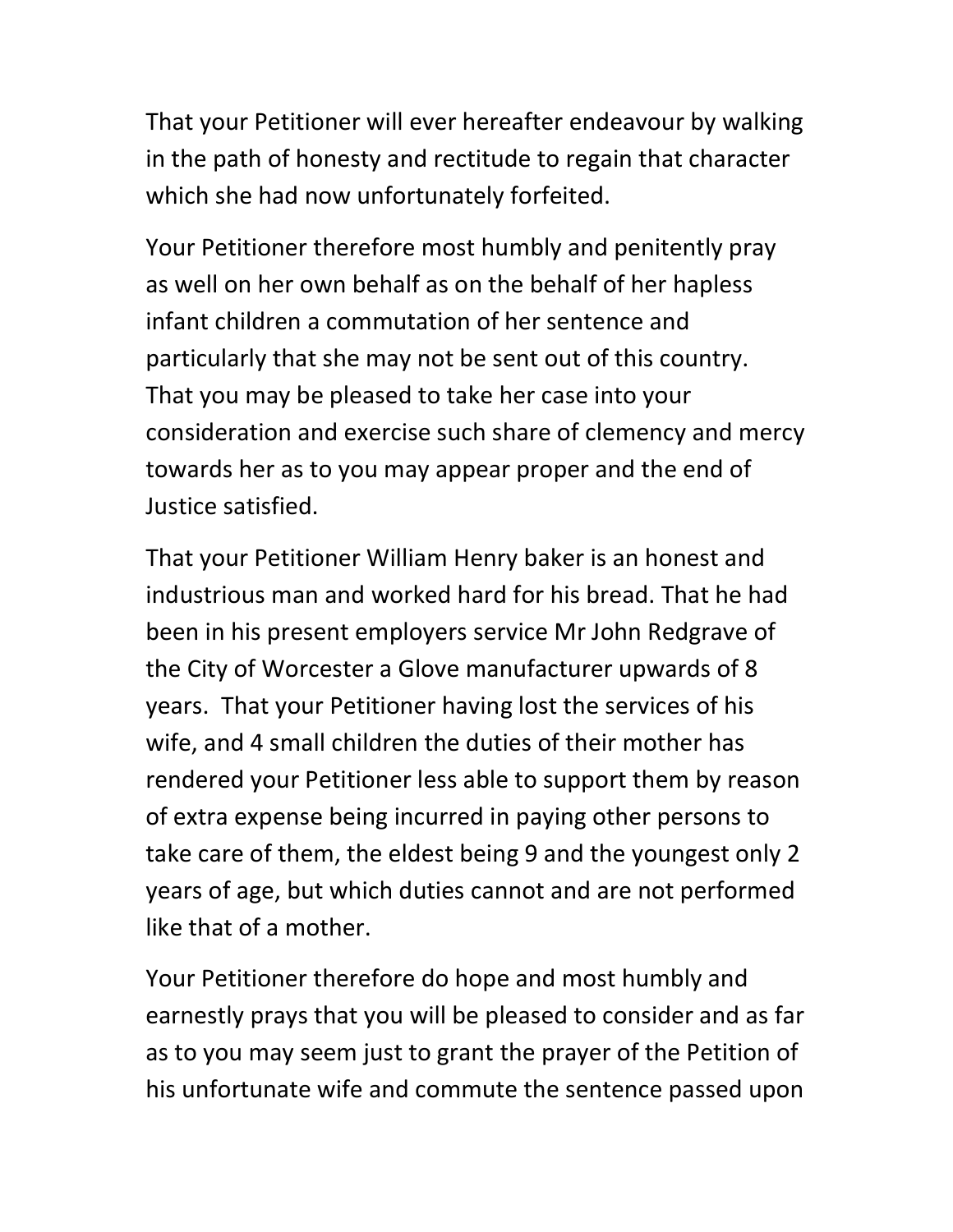That your Petitioner will ever hereafter endeavour by walking in the path of honesty and rectitude to regain that character which she had now unfortunately forfeited.

Your Petitioner therefore most humbly and penitently pray as well on her own behalf as on the behalf of her hapless infant children a commutation of her sentence and particularly that she may not be sent out of this country. That you may be pleased to take her case into your consideration and exercise such share of clemency and mercy towards her as to you may appear proper and the end of Justice satisfied.

That your Petitioner William Henry baker is an honest and industrious man and worked hard for his bread. That he had been in his present employers service Mr John Redgrave of the City of Worcester a Glove manufacturer upwards of 8 years. That your Petitioner having lost the services of his wife, and 4 small children the duties of their mother has rendered your Petitioner less able to support them by reason of extra expense being incurred in paying other persons to take care of them, the eldest being 9 and the youngest only 2 years of age, but which duties cannot and are not performed like that of a mother.

Your Petitioner therefore do hope and most humbly and earnestly prays that you will be pleased to consider and as far as to you may seem just to grant the prayer of the Petition of his unfortunate wife and commute the sentence passed upon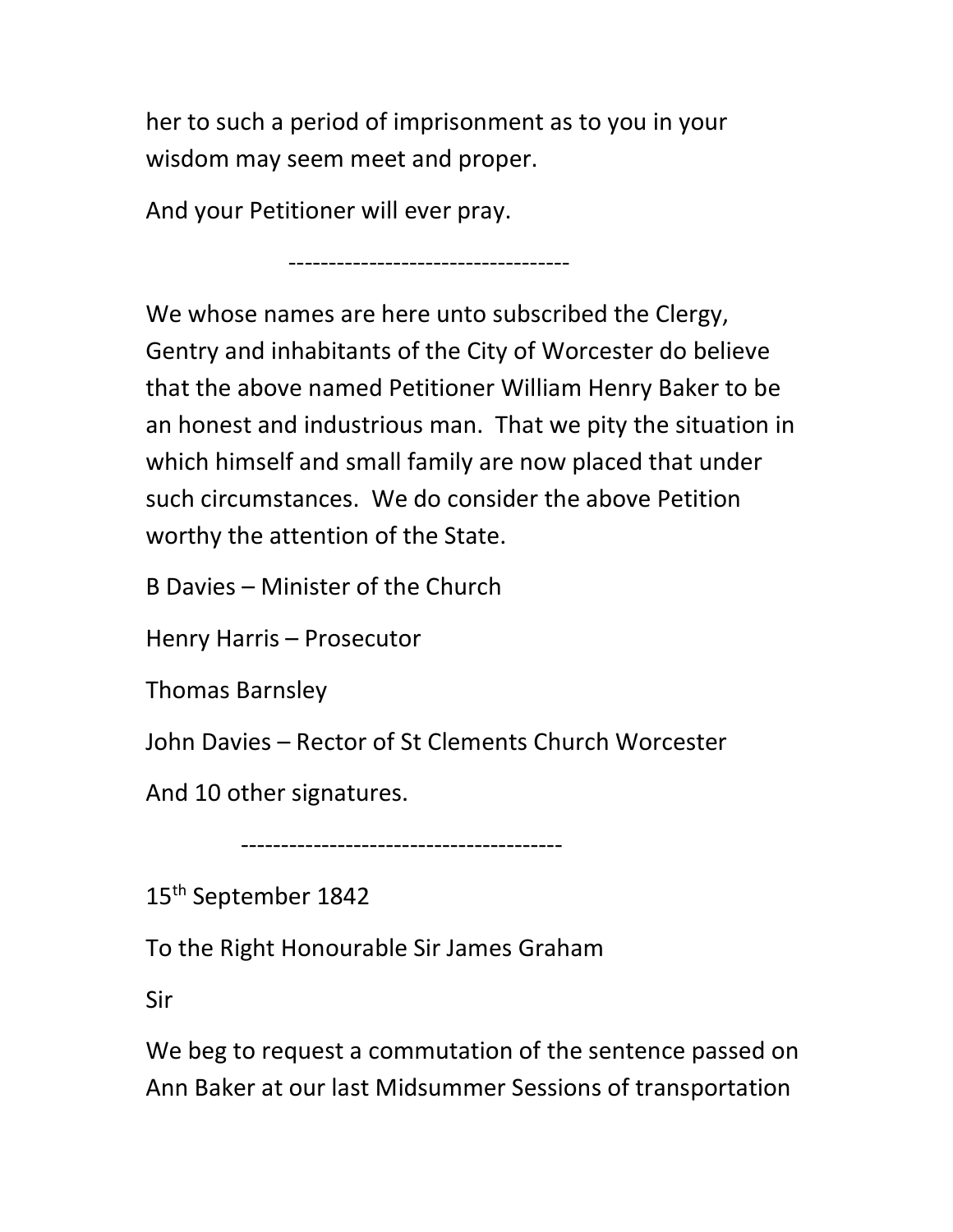her to such a period of imprisonment as to you in your wisdom may seem meet and proper.

And your Petitioner will ever pray.

-----------------------------------

We whose names are here unto subscribed the Clergy, Gentry and inhabitants of the City of Worcester do believe that the above named Petitioner William Henry Baker to be an honest and industrious man. That we pity the situation in which himself and small family are now placed that under such circumstances. We do consider the above Petition worthy the attention of the State.

B Davies – Minister of the Church

Henry Harris – Prosecutor

Thomas Barnsley

John Davies – Rector of St Clements Church Worcester

And 10 other signatures.

----------------------------------------

15<sup>th</sup> September 1842

To the Right Honourable Sir James Graham

Sir

We beg to request a commutation of the sentence passed on Ann Baker at our last Midsummer Sessions of transportation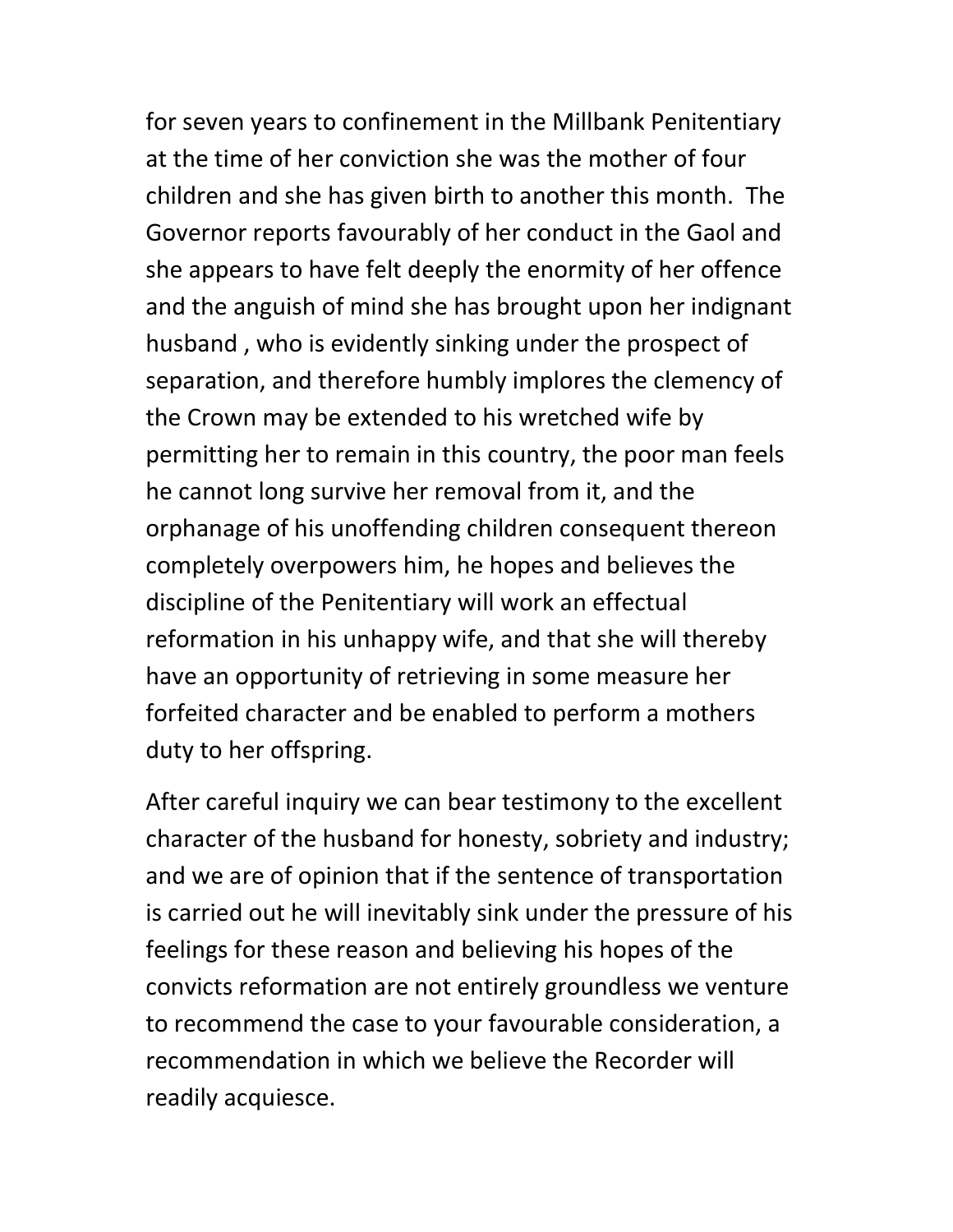for seven years to confinement in the Millbank Penitentiary at the time of her conviction she was the mother of four children and she has given birth to another this month. The Governor reports favourably of her conduct in the Gaol and she appears to have felt deeply the enormity of her offence and the anguish of mind she has brought upon her indignant husband , who is evidently sinking under the prospect of separation, and therefore humbly implores the clemency of the Crown may be extended to his wretched wife by permitting her to remain in this country, the poor man feels he cannot long survive her removal from it, and the orphanage of his unoffending children consequent thereon completely overpowers him, he hopes and believes the discipline of the Penitentiary will work an effectual reformation in his unhappy wife, and that she will thereby have an opportunity of retrieving in some measure her forfeited character and be enabled to perform a mothers duty to her offspring.

After careful inquiry we can bear testimony to the excellent character of the husband for honesty, sobriety and industry; and we are of opinion that if the sentence of transportation is carried out he will inevitably sink under the pressure of his feelings for these reason and believing his hopes of the convicts reformation are not entirely groundless we venture to recommend the case to your favourable consideration, a recommendation in which we believe the Recorder will readily acquiesce.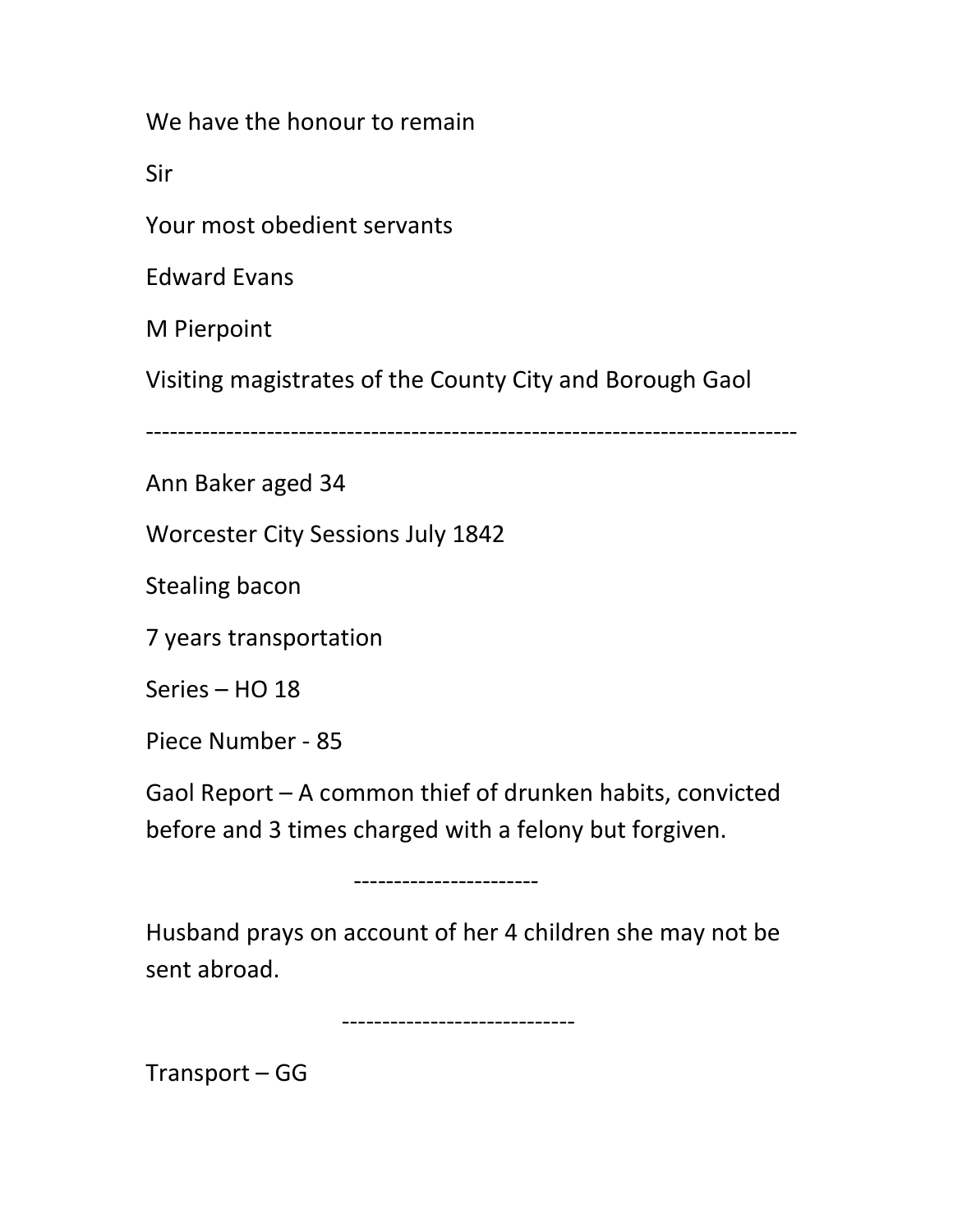We have the honour to remain

Sir

Your most obedient servants

Edward Evans

M Pierpoint

Visiting magistrates of the County City and Borough Gaol

---------------------------------------------------------------------------------

Ann Baker aged 34

Worcester City Sessions July 1842

Stealing bacon

7 years transportation

Series – HO 18

Piece Number - 85

Gaol Report – A common thief of drunken habits, convicted before and 3 times charged with a felony but forgiven.

-----------------------

Husband prays on account of her 4 children she may not be sent abroad.

-----------------------------

Transport – GG